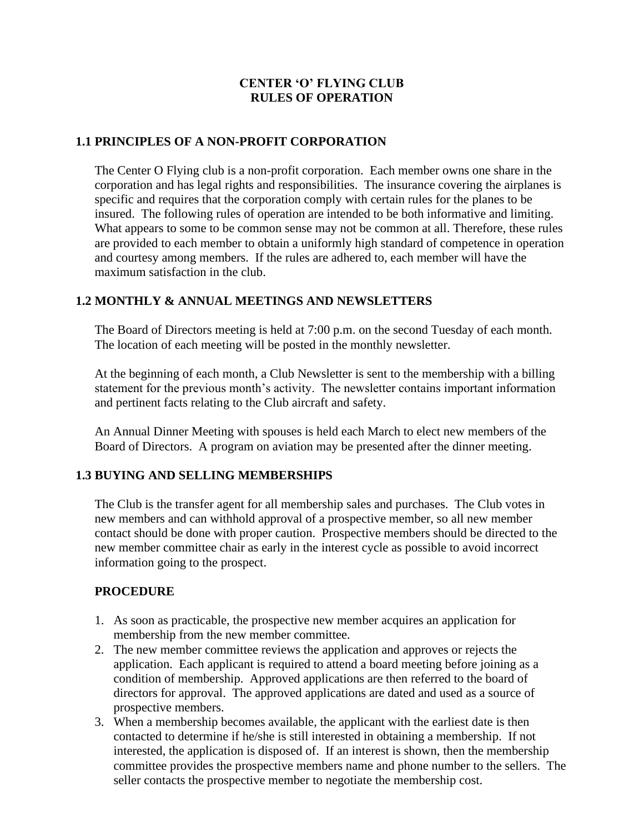### **CENTER 'O' FLYING CLUB RULES OF OPERATION**

### **1.1 PRINCIPLES OF A NON-PROFIT CORPORATION**

The Center O Flying club is a non-profit corporation. Each member owns one share in the corporation and has legal rights and responsibilities. The insurance covering the airplanes is specific and requires that the corporation comply with certain rules for the planes to be insured. The following rules of operation are intended to be both informative and limiting. What appears to some to be common sense may not be common at all. Therefore, these rules are provided to each member to obtain a uniformly high standard of competence in operation and courtesy among members. If the rules are adhered to, each member will have the maximum satisfaction in the club.

#### **1.2 MONTHLY & ANNUAL MEETINGS AND NEWSLETTERS**

The Board of Directors meeting is held at 7:00 p.m. on the second Tuesday of each month. The location of each meeting will be posted in the monthly newsletter.

At the beginning of each month, a Club Newsletter is sent to the membership with a billing statement for the previous month's activity. The newsletter contains important information and pertinent facts relating to the Club aircraft and safety.

An Annual Dinner Meeting with spouses is held each March to elect new members of the Board of Directors. A program on aviation may be presented after the dinner meeting.

#### **1.3 BUYING AND SELLING MEMBERSHIPS**

The Club is the transfer agent for all membership sales and purchases. The Club votes in new members and can withhold approval of a prospective member, so all new member contact should be done with proper caution. Prospective members should be directed to the new member committee chair as early in the interest cycle as possible to avoid incorrect information going to the prospect.

#### **PROCEDURE**

- 1. As soon as practicable, the prospective new member acquires an application for membership from the new member committee.
- 2. The new member committee reviews the application and approves or rejects the application. Each applicant is required to attend a board meeting before joining as a condition of membership. Approved applications are then referred to the board of directors for approval. The approved applications are dated and used as a source of prospective members.
- 3. When a membership becomes available, the applicant with the earliest date is then contacted to determine if he/she is still interested in obtaining a membership. If not interested, the application is disposed of. If an interest is shown, then the membership committee provides the prospective members name and phone number to the sellers. The seller contacts the prospective member to negotiate the membership cost.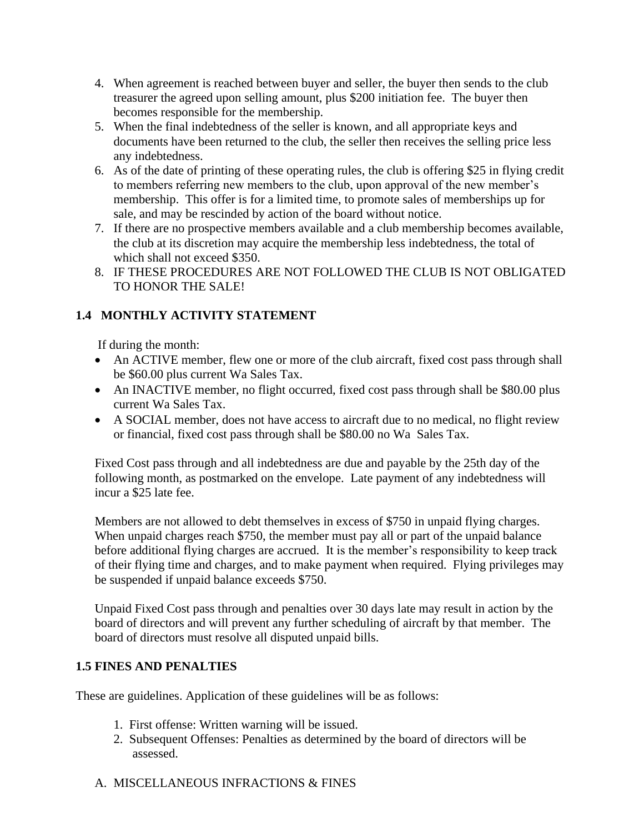- 4. When agreement is reached between buyer and seller, the buyer then sends to the club treasurer the agreed upon selling amount, plus \$200 initiation fee. The buyer then becomes responsible for the membership.
- 5. When the final indebtedness of the seller is known, and all appropriate keys and documents have been returned to the club, the seller then receives the selling price less any indebtedness.
- 6. As of the date of printing of these operating rules, the club is offering \$25 in flying credit to members referring new members to the club, upon approval of the new member's membership. This offer is for a limited time, to promote sales of memberships up for sale, and may be rescinded by action of the board without notice.
- 7. If there are no prospective members available and a club membership becomes available, the club at its discretion may acquire the membership less indebtedness, the total of which shall not exceed \$350.
- 8. IF THESE PROCEDURES ARE NOT FOLLOWED THE CLUB IS NOT OBLIGATED TO HONOR THE SALE!

# **1.4 MONTHLY ACTIVITY STATEMENT**

If during the month:

- An ACTIVE member, flew one or more of the club aircraft, fixed cost pass through shall be \$60.00 plus current Wa Sales Tax.
- An INACTIVE member, no flight occurred, fixed cost pass through shall be \$80.00 plus current Wa Sales Tax.
- A SOCIAL member, does not have access to aircraft due to no medical, no flight review or financial, fixed cost pass through shall be \$80.00 no Wa Sales Tax.

Fixed Cost pass through and all indebtedness are due and payable by the 25th day of the following month, as postmarked on the envelope. Late payment of any indebtedness will incur a \$25 late fee.

Members are not allowed to debt themselves in excess of \$750 in unpaid flying charges. When unpaid charges reach \$750, the member must pay all or part of the unpaid balance before additional flying charges are accrued. It is the member's responsibility to keep track of their flying time and charges, and to make payment when required. Flying privileges may be suspended if unpaid balance exceeds \$750.

Unpaid Fixed Cost pass through and penalties over 30 days late may result in action by the board of directors and will prevent any further scheduling of aircraft by that member. The board of directors must resolve all disputed unpaid bills.

# **1.5 FINES AND PENALTIES**

These are guidelines. Application of these guidelines will be as follows:

- 1. First offense: Written warning will be issued.
- 2. Subsequent Offenses: Penalties as determined by the board of directors will be assessed.
- A. MISCELLANEOUS INFRACTIONS & FINES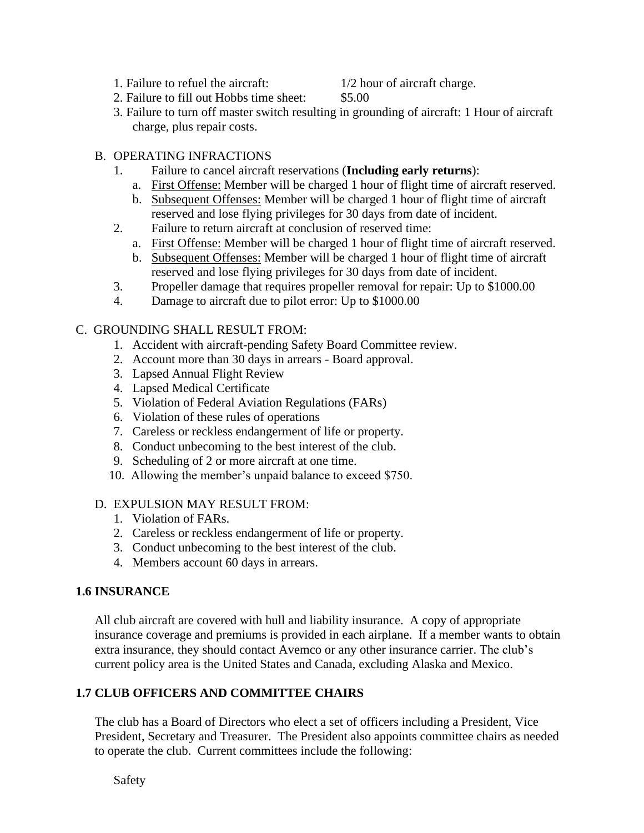1. Failure to refuel the aircraft: 1/2 hour of aircraft charge.

- 2. Failure to fill out Hobbs time sheet: \$5.00
- 3. Failure to turn off master switch resulting in grounding of aircraft: 1 Hour of aircraft charge, plus repair costs.
- B. OPERATING INFRACTIONS
	- 1. Failure to cancel aircraft reservations (**Including early returns**):
		- a. First Offense: Member will be charged 1 hour of flight time of aircraft reserved.
		- b. Subsequent Offenses: Member will be charged 1 hour of flight time of aircraft reserved and lose flying privileges for 30 days from date of incident.
	- 2. Failure to return aircraft at conclusion of reserved time:
		- a. First Offense: Member will be charged 1 hour of flight time of aircraft reserved.
		- b. Subsequent Offenses: Member will be charged 1 hour of flight time of aircraft reserved and lose flying privileges for 30 days from date of incident.
	- 3. Propeller damage that requires propeller removal for repair: Up to \$1000.00
	- 4. Damage to aircraft due to pilot error: Up to \$1000.00

## C. GROUNDING SHALL RESULT FROM:

- 1. Accident with aircraft-pending Safety Board Committee review.
- 2. Account more than 30 days in arrears Board approval.
- 3. Lapsed Annual Flight Review
- 4. Lapsed Medical Certificate
- 5. Violation of Federal Aviation Regulations (FARs)
- 6. Violation of these rules of operations
- 7. Careless or reckless endangerment of life or property.
- 8. Conduct unbecoming to the best interest of the club.
- 9. Scheduling of 2 or more aircraft at one time.
- 10. Allowing the member's unpaid balance to exceed \$750.

## D. EXPULSION MAY RESULT FROM:

- 1. Violation of FARs.
- 2. Careless or reckless endangerment of life or property.
- 3. Conduct unbecoming to the best interest of the club.
- 4. Members account 60 days in arrears.

# **1.6 INSURANCE**

All club aircraft are covered with hull and liability insurance. A copy of appropriate insurance coverage and premiums is provided in each airplane. If a member wants to obtain extra insurance, they should contact Avemco or any other insurance carrier. The club's current policy area is the United States and Canada, excluding Alaska and Mexico.

# **1.7 CLUB OFFICERS AND COMMITTEE CHAIRS**

The club has a Board of Directors who elect a set of officers including a President, Vice President, Secretary and Treasurer. The President also appoints committee chairs as needed to operate the club. Current committees include the following:

Safety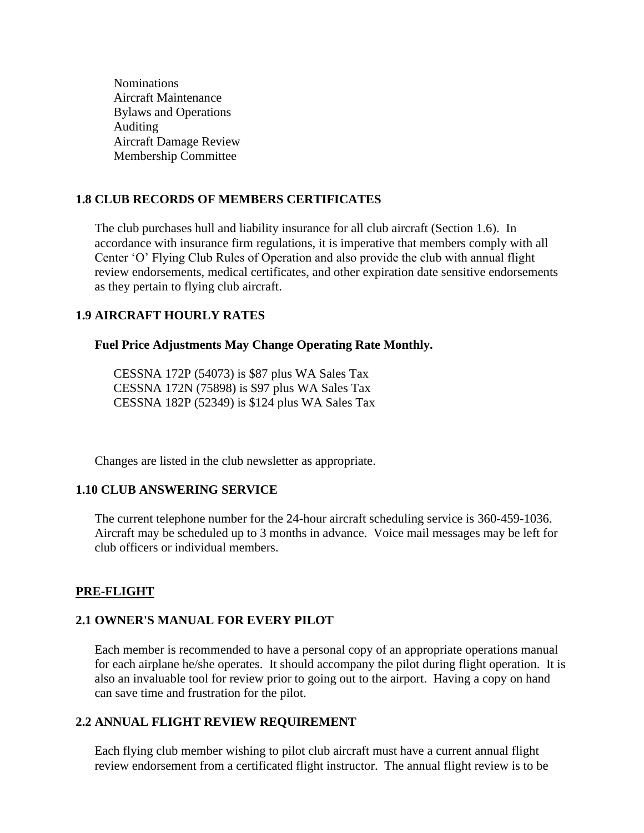Nominations Aircraft Maintenance Bylaws and Operations Auditing Aircraft Damage Review Membership Committee

### **1.8 CLUB RECORDS OF MEMBERS CERTIFICATES**

The club purchases hull and liability insurance for all club aircraft (Section 1.6). In accordance with insurance firm regulations, it is imperative that members comply with all Center 'O' Flying Club Rules of Operation and also provide the club with annual flight review endorsements, medical certificates, and other expiration date sensitive endorsements as they pertain to flying club aircraft.

# **1.9 AIRCRAFT HOURLY RATES**

#### **Fuel Price Adjustments May Change Operating Rate Monthly.**

CESSNA 172P (54073) is \$87 plus WA Sales Tax CESSNA 172N (75898) is \$97 plus WA Sales Tax CESSNA 182P (52349) is \$124 plus WA Sales Tax

Changes are listed in the club newsletter as appropriate.

#### **1.10 CLUB ANSWERING SERVICE**

The current telephone number for the 24-hour aircraft scheduling service is 360-459-1036. Aircraft may be scheduled up to 3 months in advance. Voice mail messages may be left for club officers or individual members.

#### **PRE-FLIGHT**

# **2.1 OWNER'S MANUAL FOR EVERY PILOT**

Each member is recommended to have a personal copy of an appropriate operations manual for each airplane he/she operates. It should accompany the pilot during flight operation. It is also an invaluable tool for review prior to going out to the airport. Having a copy on hand can save time and frustration for the pilot.

# **2.2 ANNUAL FLIGHT REVIEW REQUIREMENT**

Each flying club member wishing to pilot club aircraft must have a current annual flight review endorsement from a certificated flight instructor. The annual flight review is to be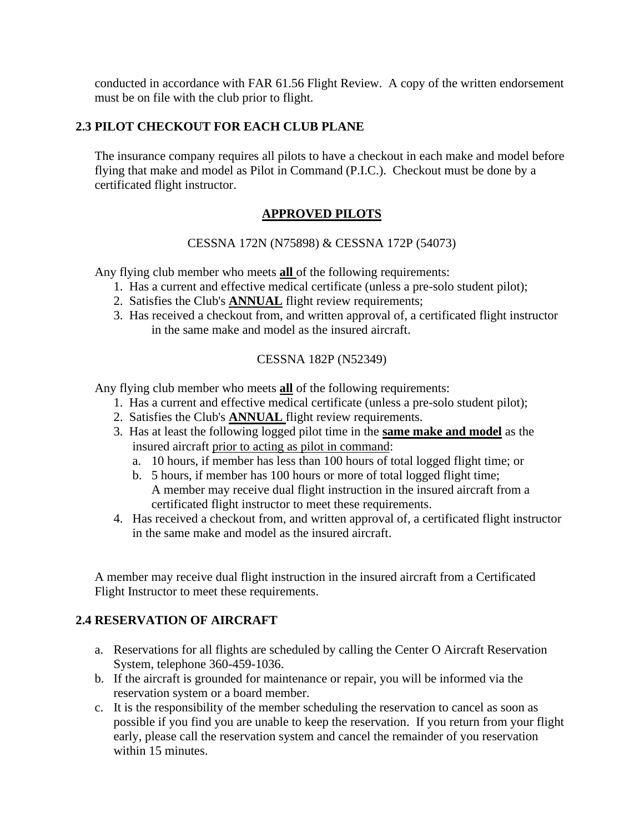conducted in accordance with FAR 61.56 Flight Review. A copy of the written endorsement must be on file with the club prior to flight.

## **2.3 PILOT CHECKOUT FOR EACH CLUB PLANE**

The insurance company requires all pilots to have a checkout in each make and model before flying that make and model as Pilot in Command (P.I.C.). Checkout must be done by a certificated flight instructor.

## **APPROVED PILOTS**

#### CESSNA 172N (N75898) & CESSNA 172P (54073)

Any flying club member who meets **all** of the following requirements:

- 1. Has a current and effective medical certificate (unless a pre-solo student pilot);
- 2. Satisfies the Club's **ANNUAL** flight review requirements;
- 3. Has received a checkout from, and written approval of, a certificated flight instructor in the same make and model as the insured aircraft.

## CESSNA 182P (N52349)

Any flying club member who meets **all** of the following requirements:

- 1. Has a current and effective medical certificate (unless a pre-solo student pilot);
- 2. Satisfies the Club's **ANNUAL** flight review requirements.
- 3. Has at least the following logged pilot time in the **same make and model** as the insured aircraft prior to acting as pilot in command:
	- a. 10 hours, if member has less than 100 hours of total logged flight time; or
	- b. 5 hours, if member has 100 hours or more of total logged flight time; A member may receive dual flight instruction in the insured aircraft from a certificated flight instructor to meet these requirements.
- 4. Has received a checkout from, and written approval of, a certificated flight instructor in the same make and model as the insured aircraft.

A member may receive dual flight instruction in the insured aircraft from a Certificated Flight Instructor to meet these requirements.

## **2.4 RESERVATION OF AIRCRAFT**

- a. Reservations for all flights are scheduled by calling the Center O Aircraft Reservation System, telephone 360-459-1036.
- b. If the aircraft is grounded for maintenance or repair, you will be informed via the reservation system or a board member.
- c. It is the responsibility of the member scheduling the reservation to cancel as soon as possible if you find you are unable to keep the reservation. If you return from your flight early, please call the reservation system and cancel the remainder of you reservation within 15 minutes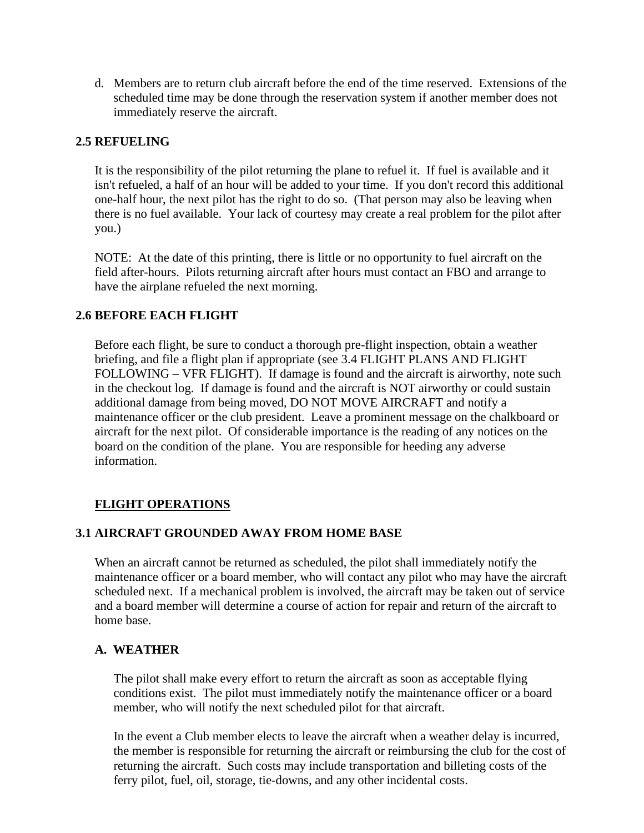d. Members are to return club aircraft before the end of the time reserved. Extensions of the scheduled time may be done through the reservation system if another member does not immediately reserve the aircraft.

### **2.5 REFUELING**

It is the responsibility of the pilot returning the plane to refuel it. If fuel is available and it isn't refueled, a half of an hour will be added to your time. If you don't record this additional one-half hour, the next pilot has the right to do so. (That person may also be leaving when there is no fuel available. Your lack of courtesy may create a real problem for the pilot after you.)

NOTE: At the date of this printing, there is little or no opportunity to fuel aircraft on the field after-hours. Pilots returning aircraft after hours must contact an FBO and arrange to have the airplane refueled the next morning.

#### **2.6 BEFORE EACH FLIGHT**

Before each flight, be sure to conduct a thorough pre-flight inspection, obtain a weather briefing, and file a flight plan if appropriate (see 3.4 FLIGHT PLANS AND FLIGHT FOLLOWING – VFR FLIGHT). If damage is found and the aircraft is airworthy, note such in the checkout log. If damage is found and the aircraft is NOT airworthy or could sustain additional damage from being moved, DO NOT MOVE AIRCRAFT and notify a maintenance officer or the club president. Leave a prominent message on the chalkboard or aircraft for the next pilot. Of considerable importance is the reading of any notices on the board on the condition of the plane. You are responsible for heeding any adverse information.

## **FLIGHT OPERATIONS**

#### **3.1 AIRCRAFT GROUNDED AWAY FROM HOME BASE**

When an aircraft cannot be returned as scheduled, the pilot shall immediately notify the maintenance officer or a board member, who will contact any pilot who may have the aircraft scheduled next. If a mechanical problem is involved, the aircraft may be taken out of service and a board member will determine a course of action for repair and return of the aircraft to home base.

#### **A. WEATHER**

The pilot shall make every effort to return the aircraft as soon as acceptable flying conditions exist. The pilot must immediately notify the maintenance officer or a board member, who will notify the next scheduled pilot for that aircraft.

In the event a Club member elects to leave the aircraft when a weather delay is incurred, the member is responsible for returning the aircraft or reimbursing the club for the cost of returning the aircraft. Such costs may include transportation and billeting costs of the ferry pilot, fuel, oil, storage, tie-downs, and any other incidental costs.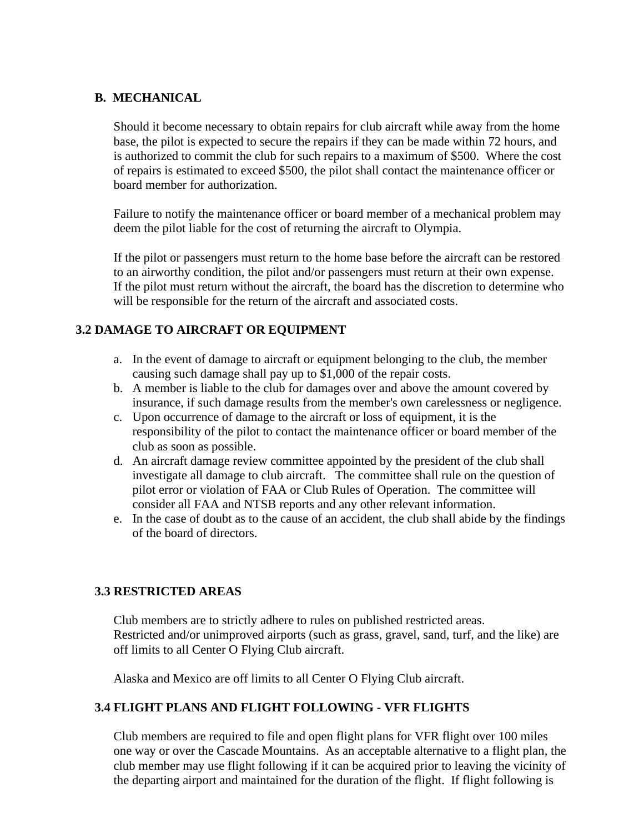#### **B. MECHANICAL**

Should it become necessary to obtain repairs for club aircraft while away from the home base, the pilot is expected to secure the repairs if they can be made within 72 hours, and is authorized to commit the club for such repairs to a maximum of \$500. Where the cost of repairs is estimated to exceed \$500, the pilot shall contact the maintenance officer or board member for authorization.

Failure to notify the maintenance officer or board member of a mechanical problem may deem the pilot liable for the cost of returning the aircraft to Olympia.

If the pilot or passengers must return to the home base before the aircraft can be restored to an airworthy condition, the pilot and/or passengers must return at their own expense. If the pilot must return without the aircraft, the board has the discretion to determine who will be responsible for the return of the aircraft and associated costs.

## **3.2 DAMAGE TO AIRCRAFT OR EQUIPMENT**

- a. In the event of damage to aircraft or equipment belonging to the club, the member causing such damage shall pay up to \$1,000 of the repair costs.
- b. A member is liable to the club for damages over and above the amount covered by insurance, if such damage results from the member's own carelessness or negligence.
- c. Upon occurrence of damage to the aircraft or loss of equipment, it is the responsibility of the pilot to contact the maintenance officer or board member of the club as soon as possible.
- d. An aircraft damage review committee appointed by the president of the club shall investigate all damage to club aircraft. The committee shall rule on the question of pilot error or violation of FAA or Club Rules of Operation. The committee will consider all FAA and NTSB reports and any other relevant information.
- e. In the case of doubt as to the cause of an accident, the club shall abide by the findings of the board of directors.

## **3.3 RESTRICTED AREAS**

Club members are to strictly adhere to rules on published restricted areas. Restricted and/or unimproved airports (such as grass, gravel, sand, turf, and the like) are off limits to all Center O Flying Club aircraft.

Alaska and Mexico are off limits to all Center O Flying Club aircraft.

## **3.4 FLIGHT PLANS AND FLIGHT FOLLOWING - VFR FLIGHTS**

Club members are required to file and open flight plans for VFR flight over 100 miles one way or over the Cascade Mountains. As an acceptable alternative to a flight plan, the club member may use flight following if it can be acquired prior to leaving the vicinity of the departing airport and maintained for the duration of the flight. If flight following is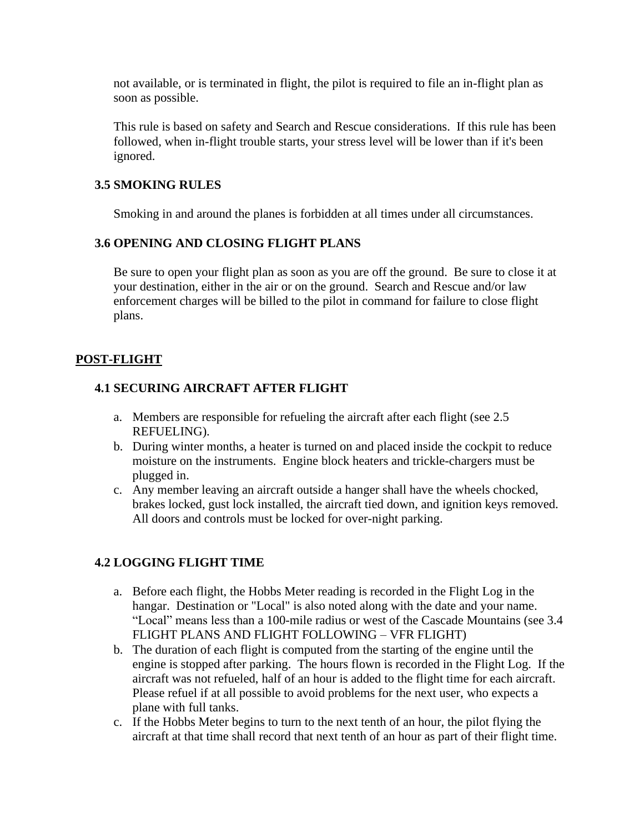not available, or is terminated in flight, the pilot is required to file an in-flight plan as soon as possible.

This rule is based on safety and Search and Rescue considerations. If this rule has been followed, when in-flight trouble starts, your stress level will be lower than if it's been ignored.

## **3.5 SMOKING RULES**

Smoking in and around the planes is forbidden at all times under all circumstances.

## **3.6 OPENING AND CLOSING FLIGHT PLANS**

Be sure to open your flight plan as soon as you are off the ground. Be sure to close it at your destination, either in the air or on the ground. Search and Rescue and/or law enforcement charges will be billed to the pilot in command for failure to close flight plans.

## **POST-FLIGHT**

## **4.1 SECURING AIRCRAFT AFTER FLIGHT**

- a. Members are responsible for refueling the aircraft after each flight (see 2.5 REFUELING).
- b. During winter months, a heater is turned on and placed inside the cockpit to reduce moisture on the instruments. Engine block heaters and trickle-chargers must be plugged in.
- c. Any member leaving an aircraft outside a hanger shall have the wheels chocked, brakes locked, gust lock installed, the aircraft tied down, and ignition keys removed. All doors and controls must be locked for over-night parking.

# **4.2 LOGGING FLIGHT TIME**

- a. Before each flight, the Hobbs Meter reading is recorded in the Flight Log in the hangar. Destination or "Local" is also noted along with the date and your name. "Local" means less than a 100-mile radius or west of the Cascade Mountains (see 3.4 FLIGHT PLANS AND FLIGHT FOLLOWING – VFR FLIGHT)
- b. The duration of each flight is computed from the starting of the engine until the engine is stopped after parking. The hours flown is recorded in the Flight Log. If the aircraft was not refueled, half of an hour is added to the flight time for each aircraft. Please refuel if at all possible to avoid problems for the next user, who expects a plane with full tanks.
- c. If the Hobbs Meter begins to turn to the next tenth of an hour, the pilot flying the aircraft at that time shall record that next tenth of an hour as part of their flight time.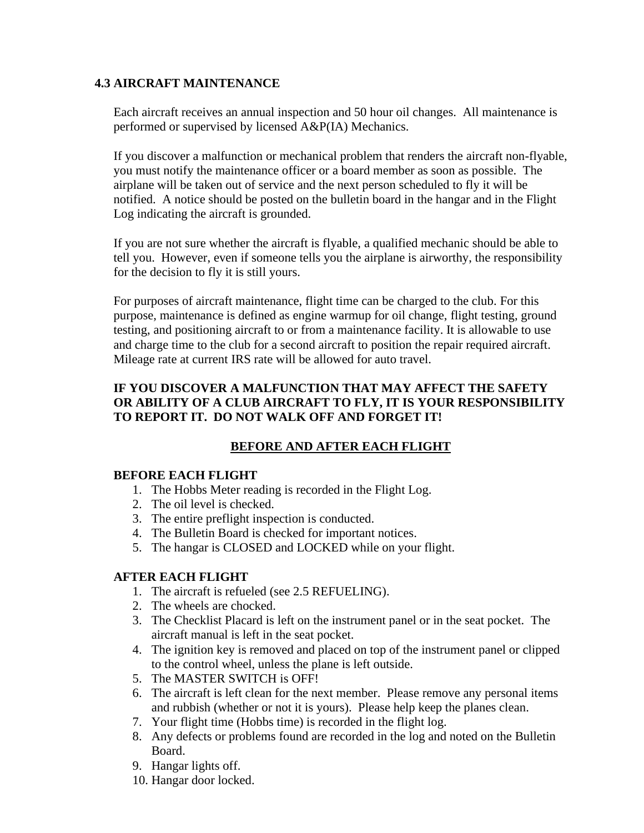#### **4.3 AIRCRAFT MAINTENANCE**

Each aircraft receives an annual inspection and 50 hour oil changes. All maintenance is performed or supervised by licensed A&P(IA) Mechanics.

If you discover a malfunction or mechanical problem that renders the aircraft non-flyable, you must notify the maintenance officer or a board member as soon as possible. The airplane will be taken out of service and the next person scheduled to fly it will be notified. A notice should be posted on the bulletin board in the hangar and in the Flight Log indicating the aircraft is grounded.

If you are not sure whether the aircraft is flyable, a qualified mechanic should be able to tell you. However, even if someone tells you the airplane is airworthy, the responsibility for the decision to fly it is still yours.

For purposes of aircraft maintenance, flight time can be charged to the club. For this purpose, maintenance is defined as engine warmup for oil change, flight testing, ground testing, and positioning aircraft to or from a maintenance facility. It is allowable to use and charge time to the club for a second aircraft to position the repair required aircraft. Mileage rate at current IRS rate will be allowed for auto travel.

### **IF YOU DISCOVER A MALFUNCTION THAT MAY AFFECT THE SAFETY OR ABILITY OF A CLUB AIRCRAFT TO FLY, IT IS YOUR RESPONSIBILITY TO REPORT IT. DO NOT WALK OFF AND FORGET IT!**

# **BEFORE AND AFTER EACH FLIGHT**

#### **BEFORE EACH FLIGHT**

- 1. The Hobbs Meter reading is recorded in the Flight Log.
- 2. The oil level is checked.
- 3. The entire preflight inspection is conducted.
- 4. The Bulletin Board is checked for important notices.
- 5. The hangar is CLOSED and LOCKED while on your flight.

#### **AFTER EACH FLIGHT**

- 1. The aircraft is refueled (see 2.5 REFUELING).
- 2. The wheels are chocked.
- 3. The Checklist Placard is left on the instrument panel or in the seat pocket. The aircraft manual is left in the seat pocket.
- 4. The ignition key is removed and placed on top of the instrument panel or clipped to the control wheel, unless the plane is left outside.
- 5. The MASTER SWITCH is OFF!
- 6. The aircraft is left clean for the next member. Please remove any personal items and rubbish (whether or not it is yours). Please help keep the planes clean.
- 7. Your flight time (Hobbs time) is recorded in the flight log.
- 8. Any defects or problems found are recorded in the log and noted on the Bulletin Board.
- 9. Hangar lights off.
- 10. Hangar door locked.